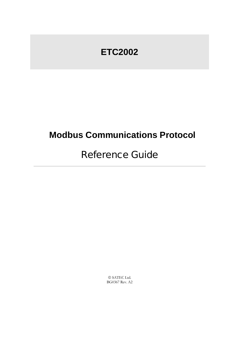# **ETC2002**

# **Modbus Communications Protocol**

# Reference Guide

© SATEC Ltd. BG0367 Rev. A2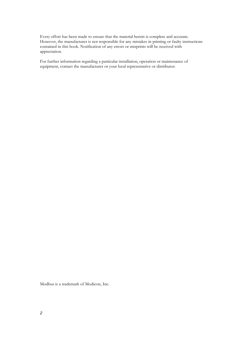Every effort has been made to ensure that the material herein is complete and accurate. However, the manufacturer is not responsible for any mistakes in printing or faulty instructions contained in this book. Notification of any errors or misprints will be received with appreciation.

For further information regarding a particular installation, operation or maintenance of equipment, contact the manufacturer or your local representative or distributor.

Modbus is a trademark of Modicon, Inc.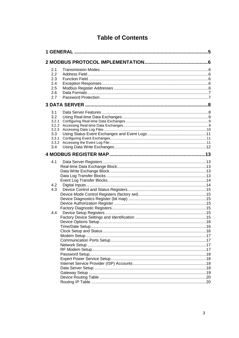### **Table of Contents**

| 2.1            |  |
|----------------|--|
| 2.2            |  |
| 2.3            |  |
| 2.4            |  |
| 2.5            |  |
| 2.6            |  |
| 2.7            |  |
|                |  |
| 3.1            |  |
| 3.2            |  |
| 3.2.1          |  |
| 3.2.2          |  |
| 3.2.3          |  |
| 3.3            |  |
| 3.3.1<br>3.3.2 |  |
| 3.4            |  |
|                |  |
|                |  |
| 4.1            |  |
|                |  |
|                |  |
|                |  |
|                |  |
| 4.2            |  |
| 4.3            |  |
|                |  |
|                |  |
|                |  |
|                |  |
| 4.4            |  |
|                |  |
|                |  |
|                |  |
|                |  |
|                |  |
|                |  |
|                |  |
|                |  |
|                |  |
|                |  |
|                |  |
|                |  |
|                |  |
|                |  |
|                |  |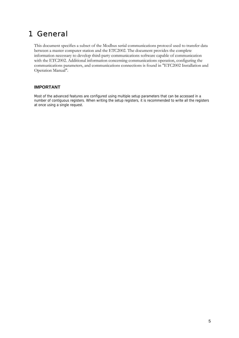## <span id="page-4-0"></span>1 General

This document specifies a subset of the Modbus serial communications protocol used to transfer data between a master computer station and the ETC2002. The document provides the complete information necessary to develop third-party communications software capable of communication with the ETC2002. Additional information concerning communications operation, configuring the communications parameters, and communications connections is found in "ETC2002 Installation and Operation Manual".

#### **IMPORTANT**

Most of the advanced features are configured using multiple setup parameters that can be accessed in a number of contiguous registers. When writing the setup registers, it is recommended to write all the registers at once using a single request.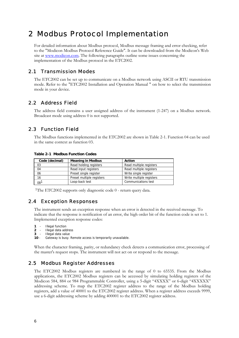## <span id="page-5-0"></span>2 Modbus Protocol Implementation

For detailed information about Modbus protocol, Modbus message framing and error checking, refer to the "Modicon Modbus Protocol Reference Guide". It can be downloaded from the Modicon's Web site at [www.modicon.com.](http://www.modicon.com/) The following paragraphs outline some issues concerning the implementation of the Modbus protocol in the ETC2002.

#### 2.1 Transmission Modes

<span id="page-5-1"></span>The ETC2002 can be set up to communicate on a Modbus network using ASCII or RTU transmission mode. Refer to the "ETC2002 Installation and Operation Manual " on how to select the transmission mode in your device.

### 2.2 Address Field

<span id="page-5-2"></span>The address field contains a user assigned address of the instrument (1-247) on a Modbus network. Broadcast mode using address 0 is not supported.

### 2.3 Function Field

<span id="page-5-3"></span>The Modbus functions implemented in the ETC2002 are shown in Table 2-1. Function 04 can be used in the same context as function 03.

| <b>Table 2-1 Modbus Function Codes</b> |  |  |  |  |
|----------------------------------------|--|--|--|--|
|----------------------------------------|--|--|--|--|

| Code (decimal) | <b>Meaning in Modbus</b>  | Action                   |
|----------------|---------------------------|--------------------------|
| 03             | Read holding registers    | Read multiple registers  |
| 04             | Read input registers      | Read multiple registers  |
| 06             | Preset single register    | Write single register    |
| 16             | Preset multiple registers | Write multiple registers |
| $08^{\circ}$   | Loop-back test            | Communications test      |

<span id="page-5-4"></span><sup>1</sup>The ETC2002 supports only diagnostic code  $0$  - return query data.

#### 2.4 Exception Responses

The instrument sends an exception response when an error is detected in the received message. To indicate that the response is notification of an error, the high order bit of the function code is set to 1. Implemented exception response codes:

- **1**  Illegal function
- **2**  Illegal data address
- **3**  Illegal data value
- **10**  Gateway is busy. Remote access is temporarily unavailable.

When the character framing, parity, or redundancy check detects a communication error, processing of the master's request stops. The instrument will not act on or respond to the message.

#### 2.5 Modbus Register Addresses

<span id="page-5-5"></span>The ETC2002 Modbus registers are numbered in the range of 0 to 65535. From the Modbus applications, the ETC2002 Modbus registers can be accessed by simulating holding registers of the Modicon 584, 884 or 984 Programmable Controller, using a 5-digit "4XXXX" or 6-digit "4XXXXX" addressing scheme. To map the ETC2002 register address to the range of the Modbus holding registers, add a value of 40001 to the ETC2002 register address. When a register address exceeds 9999, use a 6-digit addressing scheme by adding 400001 to the ETC2002 register address.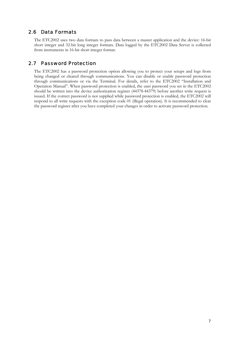### 2.6 Data Formats

<span id="page-6-0"></span>The ETC2002 uses two data formats to pass data between a master application and the device: 16-bit short integer and 32-bit long integer formats. Data logged by the ETC2002 Data Server is collected from instruments in 16-bit short integer format.

### 2.7 Password Protection

<span id="page-6-1"></span>The ETC2002 has a password protection option allowing you to protect your setups and logs from being changed or cleared through communications. You can disable or enable password protection through communications or via the Terminal. For details, refer to the ETC2002 "Installation and Operation Manual". When password protection is enabled, the user password you set in the ETC2002 should be written into the device authorization register (44378-44379) before another write request is issued. If the correct password is not supplied while password protection is enabled, the ETC2002 will respond to all write requests with the exception code 01 (illegal operation). It is recommended to clear the password register after you have completed your changes in order to activate password protection.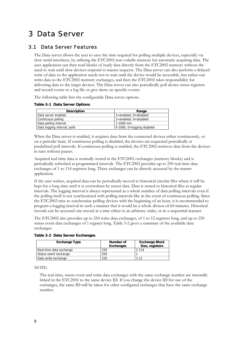# <span id="page-7-0"></span>3 Data Server

### 3.1 Data Server Features

<span id="page-7-1"></span>The Data server allows the user to save the time required for polling multiple devices, especially via slow serial interfaces, by utilizing the ETC2002 non-volatile memory for automatic acquiring data. The user application can then read blocks of ready data directly from the ETC2002 memory without the need to wait until slow devices respond to master requests. The Data server can also perform a delayed write of data so the application needs not to wait until the device would be accessible, but rather can write data to the ETC2002 memory exchanges, and then the ETC2002 takes responsibility for delivering data to the target devices. The Data server can also periodically poll device status registers and record events to a log file or give alerts on specific events.

The following table lists the configurable Data server options.

#### **Table 3-1 Data Server Options**

| <b>Description</b>           | Range                          |
|------------------------------|--------------------------------|
| Data server enabled          | 1=enabled, 0=disabled          |
| Continuous polling           | 1=enabled, 0=disabled          |
| Data polling interval        | 1-1000 min                     |
| Data logging interval, polls | 0-1000, $0 =$ logging disabled |

When the Data server is enabled, it acquires data from the connected devices either continuously, or on a periodic basis. If continuous polling is disabled, the devices are requested periodically at predefined poll intervals. If continuous polling is enabled, the ETC2002 retrieves data from the devices in turn without pauses.

Acquired real-time data is normally stored in the ETC2002 exchanges (memory blocks) and is periodically refreshed at programmed intervals. The ETC2002 provides up to 250 real-time data exchanges of 1 to 114 registers long. These exchanges can be directly accessed by the master application.

If the user wishes, acquired data can be periodically moved to historical circular files where it will be kept for a long time until it is overwritten by newer data. Data is stored to historical files at regular intervals. The logging interval is always represented as a whole number of data polling intervals even if the polling itself is not synchronized with polling intervals like in the event of continuous polling. Since the ETC2002 tries to synchronize polling devices with the beginning of an hour, it is recommended to program a logging interval in such a manner that it would be a whole divisor of 60 minutes. Historical records can be accessed one record at a time either in an arbitrary order, or in a sequential manner.

The ETC2002 also provides up to 250 write data exchanges, of 1 to 12 registers long, and up to 250 status event data exchanges of 1 register long. Table 3-2 gives a summary of the available data exchanges.

| <b>Exchange Type</b>    | Number of<br>Exchanges | <b>Exchange Block</b><br>Size, registers |
|-------------------------|------------------------|------------------------------------------|
| Real-time data exchange | 250                    | 1-114                                    |
| Status event exchange   | 250                    |                                          |
| Data write exchange     | 250                    | $1 - 12$                                 |

#### **Table 3-2 Data Server Exchanges**

NOTE:

The real-time, status event and write data exchanges with the same exchange number are internally linked in the ETC2002 to the same device ID. If you change the device ID for one of the exchanges, the same ID will be taken for other configured exchanges that have the same exchange number.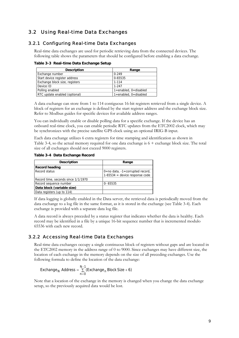### <span id="page-8-0"></span>3.2 Using Real-time Data Exchanges

#### 3.2.1 Configuring Real-time Data Exchanges

<span id="page-8-1"></span>Real-time data exchanges are used for periodic retrieving data from the connected devices. The following table shows the parameters that should be configured before enabling a data exchange.

| <b>Description</b>             | Range                 |
|--------------------------------|-----------------------|
| Exchange number                | $0 - 249$             |
| Start device register address  | 0-65535               |
| Exchange block size, registers | 1-114                 |
| Device ID                      | $1-247$               |
| Polling enabled                | 1=enabled, 0=disabled |
| RTC update enabled (optional)  | 1=enabled, 0=disabled |

**Table 3-3 Real-time Data Exchange Setup** 

A data exchange can store from 1 to 114 contiguous 16-bit registers retrieved from a single device. A block of registers for an exchange is defined by the start register address and the exchange block size. Refer to Modbus guides for specific devices for available address ranges.

You can individually enable or disable polling data for a specific exchange. If the device has an onboard real-time clock, you can enable periodic RTC updates from the ETC2002 clock, which may be synchronizes with the precise satellite GPS clock using an optional IRIG-B input.

Each data exchange utilizes 6 extra registers for time stamping and identification as shown in Table 3-4, so the actual memory required for one data exchange is 6 + exchange block size. The total size of all exchanges should not exceed 9000 registers.

**Table 3-4 Data Exchange Record** 

| <b>Description</b>                  | Range                              |
|-------------------------------------|------------------------------------|
| <b>Record heading</b>               |                                    |
| Record status                       | 0=no data, $-1$ =corrupted record, |
|                                     | $1-65534$ = device response code   |
| Record time, seconds since 1/1/1970 |                                    |
| Record sequence number              | $0 - 65535$                        |
| Data block (variable size)          |                                    |
| Data registers (up to 114)          |                                    |

If data logging is globally enabled in the Data server, the retrieved data is periodically moved from the data exchange to a log file in the same format, as it is stored in the exchange (see Table 3-4). Each exchange is provided with a separate data log file.

A data record is always preceded by a status register that indicates whether the data is healthy. Each record may be identified in a file by a unique 16-bit sequence number that is incremented modulo 65536 with each new record.

#### 3.2.2 Accessing Real-time Data Exchanges

<span id="page-8-2"></span>Real-time data exchanges occupy a single continuous block of registers without gaps and are located in the ETC2002 memory in the address range of 0 to 9000. Since exchanges may have different size, the location of each exchange in the memory depends on the size of all preceding exchanges. Use the following formula to define the location of the data exchange:

$$
Exchange_{N} \text{ Address} = \sum_{n=0}^{N-1} (Exchange_{n} \text{ Block Size} + 6)
$$

Note that a location of the exchange in the memory is changed when you change the data exchange setup, so the previously acquired data would be lost.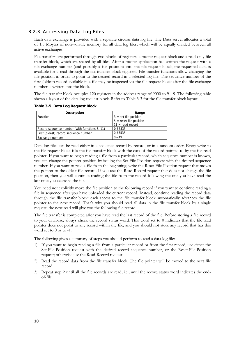#### 3.2.3 Accessing Data Log Files

<span id="page-9-0"></span>Each data exchange is provided with a separate circular data log file. The Data server allocates a total of 1.5 Mbytes of non-volatile memory for all data log files, which will be equally divided between all active exchanges.

File transfers are performed through two blocks of registers: a master request block and a read-only file transfer block, which are shared by all files. After a master application has written the request with a file exchange number (and possibly a file position) into the file request block, the requested data is available for a read through the file transfer block registers. File transfer functions allow changing the file position in order to point to the desired record in a selected log file. The sequence number of the first (oldest) record available in a file may be inspected via the file request block after the file exchange number is written into the block.

The file transfer block occupies 120 registers in the address range of 9000 to 9119. The following table shows a layout of the data log request block. Refer to Table 3-3 for the file transfer block layout.

**Table 3-5 Data Log Request Block** 

| <b>Description</b>                            | Range                     |
|-----------------------------------------------|---------------------------|
| Function                                      | $3 = set file position$   |
|                                               | $5 =$ reset file position |
|                                               | $11 = read record$        |
| Record sequence number (with functions 3, 11) | 0-65535                   |
| First (oldest) record sequence number         | 0-65535                   |
| Exchange number                               | $0 - 249$                 |

Data log files can be read either in a sequence record-by-record, or in a random order. Every write to the file request block fills the file transfer block with the data of the record pointed to by the file read pointer. If you want to begin reading a file from a particular record, which sequence number is known, you can change the pointer position by issuing the Set-File-Position request with the desired sequence number. If you want to read a file from the beginning, write the Reset-File-Position request that moves the pointer to the oldest file record. If you use the Read-Record request that does not change the file position, then you will continue reading the file from the record following the one you have read the last time you accessed the file.

You need not explicitly move the file position to the following record if you want to continue reading a file in sequence after you have uploaded the current record. Instead, continue reading the record data through the file transfer block: each access to the file transfer block automatically advances the file pointer to the next record. That's why you should read all data in the file transfer block by a single request: the next read will give you the following file record.

The file transfer is completed after you have read the last record of the file. Before storing a file record to your database, always check the record status word. This word set to 0 indicates that the file read pointer does not point to any record within the file, and you should not store any record that has this word set to 0 or to -1.

The following gives a summary of steps you should perform to read a data log file:

- 1) If you want to begin reading a file from a particular record or from the first record, use either the Set-File-Position request with the desired record sequence number, or the Reset-File-Position request; otherwise use the Read-Record request.
- 2) Read the record data from the file transfer block. The file pointer will be moved to the next file record.
- 3) Repeat step 2 until all the file records are read, i.e., until the record status word indicates the endof-file.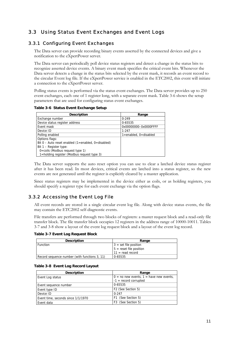### <span id="page-10-0"></span>3.3 Using Status Event Exchanges and Event Logs

#### 3.3.1 Configuring Event Exchanges

<span id="page-10-1"></span>The Data server can provide recording binary events asserted by the connected devices and give a notification to the eXpertPower server.

The Data server can periodically poll device status registers and detect a change in the status bits to recognize asserted device events. A binary event mask specifies the critical event bits. Whenever the Data server detects a change in the status bits selected by the event mask, it records an event record to the circular Event log file. If the eXpertPower service is enabled in the ETC2002, this event will initiate a connection to the eXpertPower server.

Polling status events is performed via the status event exchanges. The Data server provides up to 250 event exchanges, each one of 1 register long, with a separate event mask. Table 3-6 shows the setup parameters that are used for configuring status event exchanges.

**Table 3-6 Status Event Exchange Setup** 

| <b>Description</b>                                   | Range                 |
|------------------------------------------------------|-----------------------|
| Exchange number                                      | $0 - 249$             |
| Device status register address                       | 0-65535               |
| Event mask                                           | 0x00000000-0x0000FFFF |
| Device ID                                            | $1 - 247$             |
| Polling enabled                                      | 1=enabled, 0=disabled |
| Options flags:                                       |                       |
| Bit $0$ – Auto reset enabled (1=enabled, 0=disabled) |                       |
| Bit $1 -$ Register type:                             |                       |
| $0 = \text{coils}$ (Modbus request type 1)           |                       |
| 1=holding register (Modbus request type 3)           |                       |

The Data server supports the auto reset option you can use to clear a latched device status register after it has been read. In most devices, critical events are latched into a status register, so the new events are not generated until the register is explicitly cleared by a master application.

Since status registers may be implemented in the device either as coils, or as holding registers, you should specify a register type for each event exchange via the option flags.

#### 3.3.2 Accessing the Event Log File

<span id="page-10-2"></span>All event records are stored in a single circular event log file. Along with device status events, the file may contain the ETC2002 self-diagnostic events.

File transfers are performed through two blocks of registers: a master request block and a read-only file transfer block. The file transfer block occupies 12 registers in the address range of 10000-10011. Tables 3-7 and 3-8 show a layout of the event log request block and a layout of the event log record.

**Table 3-7 Event Log Request Block** 

| <b>Description</b>                            | Range                     |
|-----------------------------------------------|---------------------------|
| <b>Function</b>                               | $3 = set file position$   |
|                                               | $5 = reset file position$ |
|                                               | $11 = read record$        |
| Record sequence number (with functions 3, 11) | 0-65535                   |

|  | Table 3-8 Event Log Record Layout |
|--|-----------------------------------|

| <b>Description</b>                 | Range                                       |
|------------------------------------|---------------------------------------------|
| Event Log status                   | $0 =$ no new events, $1 =$ have new events, |
|                                    | $-1$ = record corrupted                     |
| Event sequence number              | 0-65535                                     |
| Event type ID                      | F2 (See Section 5)                          |
| Device ID                          | $0 - 247$                                   |
| Event time, seconds since 1/1/1970 | F1 (See Section 5)                          |
| Event data                         | F3 (See Section 5)                          |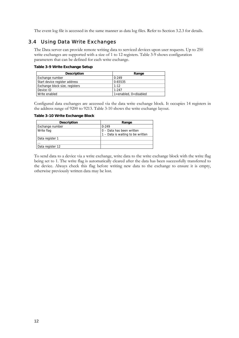<span id="page-11-0"></span>The event log file is accessed in the same manner as data log files. Refer to Section 3.2.3 for details.

#### 3.4 Using Data Write Exchanges

The Data server can provide remote writing data to serviced devices upon user requests. Up to 250 write exchanges are supported with a size of 1 to 12 registers. Table 3-9 shows configuration parameters that can be defined for each write exchange.

#### **Table 3-9 Write Exchange Setup**

| <b>Description</b>             | Range                         |
|--------------------------------|-------------------------------|
| Exchange number                | $0 - 249$                     |
| Start device register address  | 0-65535                       |
| Exchange block size, registers | $1 - 12$                      |
| Device ID                      | $1-247$                       |
| Write enabled                  | $1 =$ enabled, $0 =$ disabled |

Configured data exchanges are accessed via the data write exchange block. It occupies 14 registers in the address range of 9200 to 9213. Table 3-10 shows the write exchange layout.

**Table 3-10 Write Exchange Block** 

| <b>Description</b> | Range                             |
|--------------------|-----------------------------------|
| Exchange number    | $0 - 249$                         |
| Write flag         | 0 - Data has been written         |
|                    | 1 - Data is waiting to be written |
| Data register 1    |                                   |
| $\cdots$           |                                   |
| Data register 12   |                                   |

To send data to a device via a write exchange, write data to the write exchange block with the write flag being set to 1. The write flag is automatically cleared after the data has been successfully transferred to the device. Always check this flag before writing new data to the exchange to ensure it is empty, otherwise previously written data may be lost.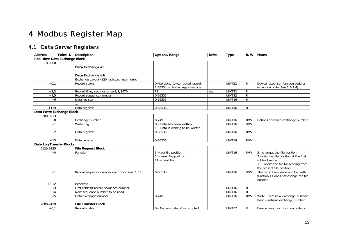## 4 Modbus Register Map

## 4.1 Data Server Registers

<span id="page-12-5"></span><span id="page-12-4"></span><span id="page-12-3"></span><span id="page-12-2"></span><span id="page-12-1"></span><span id="page-12-0"></span>

| <b>Address</b>                  | Point ID Description                          | Options/Range                                                            | <b>Units</b> | <b>Type</b>        | R/W          | <b>Notes</b>                                                                                                                                                     |
|---------------------------------|-----------------------------------------------|--------------------------------------------------------------------------|--------------|--------------------|--------------|------------------------------------------------------------------------------------------------------------------------------------------------------------------|
| Real-time Data Exchange Block   |                                               |                                                                          |              |                    |              |                                                                                                                                                                  |
| 0-9000                          |                                               |                                                                          |              |                    |              |                                                                                                                                                                  |
|                                 | Data Exchange #1                              |                                                                          |              |                    |              |                                                                                                                                                                  |
| $\ddotsc$                       |                                               |                                                                          |              |                    |              |                                                                                                                                                                  |
|                                 | Data Exchange #N                              |                                                                          |              |                    |              |                                                                                                                                                                  |
|                                 | Exchange Layout (120 registers maximum):      |                                                                          |              |                    |              |                                                                                                                                                                  |
| $+0.1$                          | Record status                                 | 0=No data, -1=corrupted record,<br>$1-65534$ = device response code      |              | <b>UINT32</b>      | R            | Device response: function code or<br>exception code (See 2.3-2.4)                                                                                                |
| $+2,3$                          | Record time, seconds since 1/1/1970           |                                                                          | sec          | UINT32             | R            |                                                                                                                                                                  |
| $+4,5$                          | Record sequence number                        | 0-65535                                                                  |              | <b>UINT32</b>      | $\mathsf{R}$ |                                                                                                                                                                  |
| $+6$                            | Data register                                 | 0-65535                                                                  |              | UINT <sub>16</sub> | R            |                                                                                                                                                                  |
|                                 |                                               |                                                                          |              |                    |              |                                                                                                                                                                  |
| $+119$                          | Data register                                 | 0-65535                                                                  |              | UINT16             | ${\sf R}$    |                                                                                                                                                                  |
| Data Write Exchange Block       |                                               |                                                                          |              |                    |              |                                                                                                                                                                  |
| 9200-9213                       |                                               |                                                                          |              |                    |              |                                                                                                                                                                  |
| $+0$                            | Exchange number                               | $0 - 249$                                                                |              | UINT16             | R/W          | Defines accessed exchange number                                                                                                                                 |
| $+1$                            | Write flag                                    | 0 - Data has been written<br>1 - Data is waiting to be written           |              | UINT <sub>16</sub> | R/W          |                                                                                                                                                                  |
| $+2$                            | Data register                                 | 0-65535                                                                  |              | UINT16             | R/W          |                                                                                                                                                                  |
|                                 |                                               |                                                                          |              |                    |              |                                                                                                                                                                  |
| $+13$                           | Data register                                 | 0-65535                                                                  |              | UINT16             | R/W          |                                                                                                                                                                  |
| <b>Data Log Transfer Blocks</b> |                                               |                                                                          |              |                    |              |                                                                                                                                                                  |
| 9120-9135                       | <b>File Request Block</b>                     |                                                                          |              |                    |              |                                                                                                                                                                  |
| $+0$                            | Function                                      | $3 = set file position$<br>$5 =$ reset file position<br>$11 = read file$ |              | UINT16             | R/W          | 3 - changes the file position<br>5 - sets the file position at the first<br>(oldest) record<br>11 - opens the file for reading from<br>the present file position |
| $+1$                            | Record sequence number (with functions 3, 11) | 0-65535                                                                  |              | UINT16             | R/W          | The record sequence number with<br>function 11 does not change the file<br>position                                                                              |
| $+2-12$                         | Reserved                                      |                                                                          |              |                    |              |                                                                                                                                                                  |
| $+13$                           | First (oldest) record sequence number         |                                                                          |              | UINT16             | ${\sf R}$    |                                                                                                                                                                  |
| $+14$                           | Next sequence number to be used               |                                                                          |              | UINT16             | $\mathsf{R}$ |                                                                                                                                                                  |
| $+15$                           | Data exchange number                          | $0 - 249$                                                                |              | UINT <sub>16</sub> | R/W          | Write - sets new exchange number<br>Read - returns exchange number                                                                                               |
| 9000-9119                       | <b>File Transfer Block</b>                    |                                                                          |              |                    |              |                                                                                                                                                                  |
| $+0.1$                          | Record status                                 | $0=$ No new data, $-1=$ corrupted                                        |              | UINT32             | R            | Device response: function code or                                                                                                                                |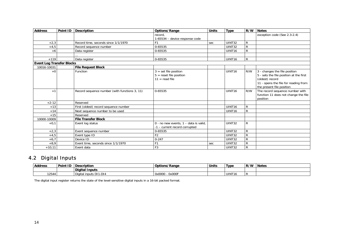| <b>Address</b>                   | Point ID | <b>Description</b>                            | Options/Range                         | <b>Units</b> | <b>Type</b>        | R/W          | <b>Notes</b>                            |
|----------------------------------|----------|-----------------------------------------------|---------------------------------------|--------------|--------------------|--------------|-----------------------------------------|
|                                  |          |                                               | record.                               |              |                    |              | exception code (See 2.3-2.4)            |
|                                  |          |                                               | 1-65534 - device response code        |              |                    |              |                                         |
| $+2,3$                           |          | Record time, seconds since 1/1/1970           | F <sub>1</sub>                        | sec          | UINT32             | R            |                                         |
| $+4,5$                           |          | Record sequence number                        | 0-65535                               |              | <b>UINT32</b>      | $\mathsf{R}$ |                                         |
| $+6$                             |          | Data register                                 | 0-65535                               |              | UINT16             | $\mathsf{R}$ |                                         |
|                                  |          |                                               |                                       |              |                    |              |                                         |
| $+119$                           |          | Data register                                 | 0-65535                               |              | UINT16             | $\mathsf{R}$ |                                         |
| <b>Event Log Transfer Blocks</b> |          |                                               |                                       |              |                    |              |                                         |
| 10016-10031                      |          | <b>File Request Block</b>                     |                                       |              |                    |              |                                         |
| $+0$                             |          | Function                                      | $3 = set file position$               |              | UINT <sub>16</sub> | R/W          | 3 - changes the file position           |
|                                  |          |                                               | $5 =$ reset file position             |              |                    |              | 5 - sets the file position at the first |
|                                  |          |                                               | $11 = read file$                      |              |                    |              | (oldest) record                         |
|                                  |          |                                               |                                       |              |                    |              | 11 - opens the file for reading from    |
|                                  |          |                                               |                                       |              |                    |              | the present file position               |
| $+1$                             |          | Record sequence number (with functions 3, 11) | 0-65535                               |              | UINT <sub>16</sub> | R/W          | The record sequence number with         |
|                                  |          |                                               |                                       |              |                    |              | function 11 does not change the file    |
|                                  |          |                                               |                                       |              |                    |              | position                                |
| $+2-12$                          |          | Reserved                                      |                                       |              |                    |              |                                         |
| $+13$                            |          | First (oldest) record sequence number         |                                       |              | UINT <sub>16</sub> | R            |                                         |
| $+14$                            |          | Next sequence number to be used               |                                       |              | UINT <sub>16</sub> | $\mathsf{R}$ |                                         |
| $+15$                            |          | Reserved                                      |                                       |              |                    |              |                                         |
| 10000-10009                      |          | <b>File Transfer Block</b>                    |                                       |              |                    |              |                                         |
| $+0,1$                           |          | Event log status                              | 0 - no new events, 1 - data is valid, |              | UINT32             | R            |                                         |
|                                  |          |                                               | -1 - current record corrupted         |              |                    |              |                                         |
| $+2,3$                           |          | Event sequence number                         | 0-65535                               |              | <b>UINT32</b>      | $\mathsf{R}$ |                                         |
| $+4,5$                           |          | Event type ID                                 | F <sub>2</sub>                        |              | UINT32             | $\mathsf R$  |                                         |
| $+6,7$                           |          | Device ID                                     | $0 - 247$                             |              | UINT32             | $\mathsf{R}$ |                                         |
| $+8,9$                           |          | Event time, seconds since 1/1/1970            | F <sub>1</sub>                        | sec          | UINT32             | $\mathsf R$  |                                         |
| $+10,11$                         |          | Event data                                    | F <sub>3</sub>                        |              | UINT32             | $\mathsf{R}$ |                                         |

## 4.2 Digital Inputs

| <b>Address</b> | Point ID | Description               | <b>Options/Range</b> | <b>Units</b> | Type               | R/W | <b>Notes</b> |
|----------------|----------|---------------------------|----------------------|--------------|--------------------|-----|--------------|
|                |          | Digital Inputs            |                      |              |                    |     |              |
| 12544          |          | inputs DI1-DI4<br>Digital | 0x000F<br>0x0000     |              | UINT <sub>16</sub> |     |              |

<span id="page-13-0"></span>The digital input register returns the state of the level-sensitive digital inputs in a 16-bit packed format.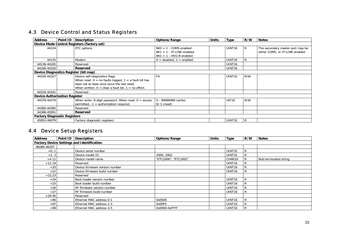### 4.3 Device Control and Status Registers

| <b>Address</b>                        |                                             | Point ID Description                                                                                                                                                                                  | Options/Range                                                                            | Units | <b>Type</b>        | R/W | <b>Notes</b>                                                        |  |  |
|---------------------------------------|---------------------------------------------|-------------------------------------------------------------------------------------------------------------------------------------------------------------------------------------------------------|------------------------------------------------------------------------------------------|-------|--------------------|-----|---------------------------------------------------------------------|--|--|
|                                       | Device Mode Control Registers (factory set) |                                                                                                                                                                                                       |                                                                                          |       |                    |     |                                                                     |  |  |
| 44134                                 |                                             | ETC options                                                                                                                                                                                           | $Bit0 = 1 - COM5 enabled$<br>$Bit1 = 1 - IP-LINK enabled$<br>$Bit2 = 1 - IRIG-B enabled$ |       | UINT <sub>16</sub> | R   | The secondary master port may be<br>either COM5, or IP-LINK enabled |  |  |
| 44135                                 |                                             | Modem                                                                                                                                                                                                 | $0 =$ disabled, $1 =$ enabled                                                            |       | UINT <sub>16</sub> | R   |                                                                     |  |  |
| 44136-44165                           |                                             | Reserved                                                                                                                                                                                              |                                                                                          |       | UINT <sub>16</sub> |     |                                                                     |  |  |
| 44166-44326                           |                                             | Reserved                                                                                                                                                                                              |                                                                                          |       | UINT <sub>16</sub> |     |                                                                     |  |  |
| Device Diagnostics Register (bit map) |                                             |                                                                                                                                                                                                       |                                                                                          |       |                    |     |                                                                     |  |  |
| 44326-44327                           |                                             | Device self-diagnostics flags.<br>When read: $0 =$ no faults logged, $1 =$ a fault bit has<br>been set at least once since the last reset.<br>When written: $0 =$ clear a fault bit, $1 =$ no effect. | F4                                                                                       |       | <b>UINT32</b>      | R/W |                                                                     |  |  |
| 44328-44341                           |                                             | Reserved                                                                                                                                                                                              |                                                                                          |       |                    |     |                                                                     |  |  |
| <b>Device Authorization Register</b>  |                                             |                                                                                                                                                                                                       |                                                                                          |       |                    |     |                                                                     |  |  |
| 44378-44379                           |                                             | When write: 8-digit password. When read: $0 =$ access<br>permitted, $-1$ = authorization required.                                                                                                    | 0 - 99999999 (write)<br>$0/-1$ (read)                                                    |       | <b>INT32</b>       | R/W |                                                                     |  |  |
| 44380-44385                           |                                             | Reserved                                                                                                                                                                                              |                                                                                          |       |                    |     |                                                                     |  |  |
| 44386-45951                           |                                             | <b>Reserved</b>                                                                                                                                                                                       |                                                                                          |       |                    |     |                                                                     |  |  |
| <b>Factory Diagnostic Registers</b>   |                                             |                                                                                                                                                                                                       |                                                                                          |       |                    |     |                                                                     |  |  |
| 45952-46079                           |                                             | Factory diagnostic registers                                                                                                                                                                          |                                                                                          |       | <b>UINT32</b>      | R   |                                                                     |  |  |

### 4.4 Device Setup Registers

<span id="page-14-6"></span><span id="page-14-5"></span><span id="page-14-4"></span><span id="page-14-3"></span><span id="page-14-2"></span><span id="page-14-1"></span><span id="page-14-0"></span>

| <b>Address</b> |                                                   | Point ID   Description         | <b>Options/Range</b> | <b>Units</b> | <b>Type</b>        | R/W | <b>Notes</b>           |  |  |  |
|----------------|---------------------------------------------------|--------------------------------|----------------------|--------------|--------------------|-----|------------------------|--|--|--|
|                | <b>Factory Device Settings and Identification</b> |                                |                      |              |                    |     |                        |  |  |  |
| 46080-46207    |                                                   |                                |                      |              |                    |     |                        |  |  |  |
| $+0, 1$        |                                                   | Device serial number           |                      |              | UINT32             | R   |                        |  |  |  |
| $+2, 3$        |                                                   | Device model ID                | 2000, 2002           |              | <b>UINT32</b>      | R   |                        |  |  |  |
| $+4-11$        |                                                   | Device model name              | "ETC2000", "ETC2002" |              | CHAR16             |     | Null-terminated string |  |  |  |
| $+12-19$       |                                                   | Reserved                       |                      |              | UINT <sub>16</sub> | R   |                        |  |  |  |
| $+20$          |                                                   | Device firmware version number |                      |              | UINT16             | R   |                        |  |  |  |
| $+21$          |                                                   | Device firmware build number   |                      |              | UINT16             | l R |                        |  |  |  |
| $+22,23$       |                                                   | Reserved                       |                      |              |                    |     |                        |  |  |  |
| $+24$          |                                                   | Boot loader version number     |                      |              | UINT <sub>16</sub> | R   |                        |  |  |  |
| $+25$          |                                                   | Boot loader build number       |                      |              | UINT <sub>16</sub> | R   |                        |  |  |  |
| $+26$          |                                                   | RF firmware version number     |                      |              | UINT <sub>16</sub> | l R |                        |  |  |  |
| $+27$          |                                                   | RF firmware build number       |                      |              | UINT <sub>16</sub> | R   |                        |  |  |  |
| $+28-95$       |                                                   | Reserved                       |                      |              |                    |     |                        |  |  |  |
| $+96$          |                                                   | Ethernet MAC address 0-1       | 0x0500               |              | UINT <sub>16</sub> | R   |                        |  |  |  |
| $+97$          |                                                   | Ethernet MAC address 2-3       | 0x00F0               |              | UINT <sub>16</sub> | R   |                        |  |  |  |
| $+98$          |                                                   | Ethernet MAC address 4-5       | 0x0000-0xFFFF        |              | UINT <sub>16</sub> | R   |                        |  |  |  |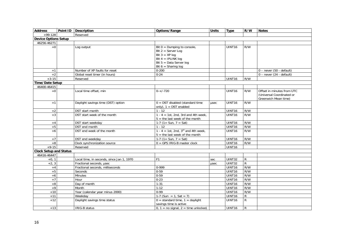<span id="page-15-2"></span><span id="page-15-1"></span><span id="page-15-0"></span>

| <b>Address</b>                | Point ID   Description                    | Options/Range                                                                                                                                           | <b>Units</b> | <b>Type</b>        | R/W          | <b>Notes</b>                                                                    |
|-------------------------------|-------------------------------------------|---------------------------------------------------------------------------------------------------------------------------------------------------------|--------------|--------------------|--------------|---------------------------------------------------------------------------------|
| $+99-128$                     | Reserved                                  |                                                                                                                                                         |              |                    |              |                                                                                 |
| <b>Device Options Setup</b>   |                                           |                                                                                                                                                         |              |                    |              |                                                                                 |
| 46256-46271                   |                                           |                                                                                                                                                         |              |                    |              |                                                                                 |
| $+0$                          | Log output                                | Bit $0 =$ Dumping to console,<br>Bit $2 =$ Server Log<br>Bit $3 = XP$ log<br>Bit $4 = IPLINK log$<br>Bit $5 = Data Server log$<br>Bit $6 =$ Sharing log |              | UINT16             | R/W          |                                                                                 |
| $+1$                          | Number of XP faults for reset             | $0 - 200$                                                                                                                                               |              |                    |              | $0$ – never (50 - default)                                                      |
| $+2$                          | Global reset timer (in hours)             | $0 - 24$                                                                                                                                                |              |                    |              | $0$ – never (24 - default)                                                      |
| $+3-15$                       | Reserved                                  |                                                                                                                                                         |              | UINT16             | R/W          |                                                                                 |
| Time/Date Setup               |                                           |                                                                                                                                                         |              |                    |              |                                                                                 |
| 46400-46415                   |                                           |                                                                                                                                                         |              |                    |              |                                                                                 |
| $+0$                          | Local time offset, min                    | $0-+/720$                                                                                                                                               |              | <b>UINT16</b>      | R/W          | Offset in minutes from UTC<br>(Universal Coordinated or<br>Greenwich Mean time) |
| $+1$                          | Daylight savings time (DST) option        | $0 =$ DST disabled (standard time<br>only), $1 =$ DST enabled                                                                                           | usec         | <b>UINT16</b>      | R/W          |                                                                                 |
| $+2$                          | DST start month                           | $1 - 12$                                                                                                                                                |              | UINT16             | R/W          |                                                                                 |
| $+3$                          | DST start week of the month               | $1 - 4 = 1$ st, 2nd, 3rd and 4th week,<br>$5 =$ the last week of the month                                                                              |              | UINT16             | R/W          |                                                                                 |
| $+4$                          | DST start weekday                         | 1-7 (1= Sun, $7 = Sat$ )                                                                                                                                |              | UINT16             | R/W          |                                                                                 |
| $+5$                          | DST end month                             | $1 - 12$                                                                                                                                                |              | UINT16             | R/W          |                                                                                 |
| $+6$                          | DST end week of the month                 | 1 - 4 = 1st, 2nd, $3^{rd}$ and 4th week,<br>$5 =$ the last week of the month                                                                            |              | UINT <sub>16</sub> | R/W          |                                                                                 |
| $+7$                          | DST end weekday                           | $1-7$ (1 = Sun, 7 = Sat)                                                                                                                                |              | UINT16             | R/W          |                                                                                 |
| $+8$                          | Clock synchronization source              | $0 = GPS$ IRIG-B master clock                                                                                                                           |              | UINT16             | R/W          |                                                                                 |
| $+9-15$                       | Reserved                                  |                                                                                                                                                         |              | <b>UINT16</b>      |              |                                                                                 |
| <b>Clock Setup and Status</b> |                                           |                                                                                                                                                         |              |                    |              |                                                                                 |
| 46416-46447                   |                                           |                                                                                                                                                         |              |                    |              |                                                                                 |
| $+0, 1$                       | Local time, in seconds, since Jan 1, 1970 | F <sub>1</sub>                                                                                                                                          | sec          | <b>UINT32</b>      | R            |                                                                                 |
| $+2, 3$                       | Fractional seconds, usec                  |                                                                                                                                                         | usec         | UINT32             | $\mathsf{R}$ |                                                                                 |
| $+4$                          | Fractional seconds, milliseconds          | 0-999                                                                                                                                                   |              | UINT16             | R/W          |                                                                                 |
| $+5$                          | Seconds                                   | $0 - 59$                                                                                                                                                |              | UINT16             | R/W          |                                                                                 |
| $+6$                          | Minutes                                   | $0 - 59$                                                                                                                                                |              | UINT16             | R/W          |                                                                                 |
| $+7$                          | Hour                                      | $0 - 23$                                                                                                                                                |              | <b>UINT16</b>      | R/W          |                                                                                 |
| $+8$                          | Day of month                              | $1 - 31$                                                                                                                                                |              | UINT16             | R/W          |                                                                                 |
| $+9$                          | Month                                     | $1 - 12$                                                                                                                                                |              | UINT16             | R/W          |                                                                                 |
| $+10$                         | Year (calendar year minus 2000)           | $0 - 99$                                                                                                                                                |              | UINT16             | R/W          |                                                                                 |
| $+11$                         | Weekday                                   | 1-7 (Sun = 1, Sat = 7)                                                                                                                                  |              | UINT16             | R            |                                                                                 |
| $+12$                         | Daylight savings time status              | $0 =$ standard time, $1 =$ daylight<br>savings time is active                                                                                           |              | UINT <sub>16</sub> | R.           |                                                                                 |
| $+13$                         | <b>IRIG-B status</b>                      | $0, 1 =$ no signal, $2 =$ time unlocked,                                                                                                                |              | <b>UINT16</b>      | R            |                                                                                 |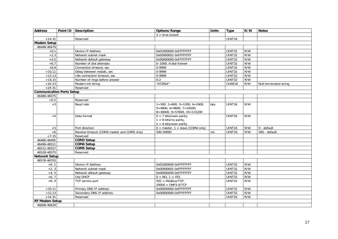<span id="page-16-3"></span><span id="page-16-2"></span><span id="page-16-1"></span><span id="page-16-0"></span>

| <b>Address</b>                   | Point ID   Description                      | Options/Range                                                                                            | <b>Units</b> | <b>Type</b>   | R/W | <b>Notes</b>           |
|----------------------------------|---------------------------------------------|----------------------------------------------------------------------------------------------------------|--------------|---------------|-----|------------------------|
|                                  |                                             | $3 =$ time locked                                                                                        |              |               |     |                        |
| $+14-31$                         | Reserved                                    |                                                                                                          |              | UINT16        |     |                        |
| <b>Modem Setup</b>               |                                             |                                                                                                          |              |               |     |                        |
| 46448-46479                      |                                             |                                                                                                          |              |               |     |                        |
| $+0,1$                           | Device IP Address                           | 0x01000000-0xFFFFFFFF                                                                                    |              | UINT32        | R/W |                        |
| $+2,3$                           | Network subnet mask                         | 0x00000001-0xFFFFFFFF                                                                                    |              | UINT32        | R/W |                        |
| $+4,5$                           | Network default gateway                     | 0x00000000-0xFFFFFFFF                                                                                    |              | UINT32        | R/W |                        |
| $+6.7$                           | Number of dial attempts                     | 0-1000, 0-dial forever                                                                                   |              | <b>UINT32</b> | R/W |                        |
| $+8,9$                           | Connection timeout, sec                     | 0-9999                                                                                                   |              | UINT32        | R/W |                        |
| $+10,11$                         | Delay between redials, sec                  | 0-9999                                                                                                   |              | UINT32        | R/W |                        |
| $+12,13$                         | Idle connection timeout, sec                | 0-9999                                                                                                   |              | UINT32        | R/W |                        |
| $+14,15$                         | Number of rings before answer               | $0 - 2$                                                                                                  |              | UINT32        | R/W |                        |
| $+16-23$                         | Modem init string                           | "ATZ0&F"                                                                                                 |              | CHAR16        | R/W | Null-terminated string |
| $+24-31$                         | Reserved                                    |                                                                                                          |              |               |     |                        |
| <b>Communication Ports Setup</b> |                                             |                                                                                                          |              |               |     |                        |
| 46480-46575                      |                                             |                                                                                                          |              |               |     |                        |
| $+0-2$                           | Reserved                                    |                                                                                                          |              |               |     |                        |
| $+3$                             | Baud rate                                   | $1=300$ , $2=600$ , $3=1200$ , $4=2400$ ,<br>$5=4800, 6=9600, 7=19200,$<br>$8=38400, 9=57600, 10=115200$ | bps          | <b>UINT16</b> | R/W |                        |
| $+4$                             | Data format                                 | $0 = 7$ bits/even parity,<br>$1 = 8$ bits/no parity,<br>$2 = 8$ bits/even parity                         |              | UINT16        | R/W |                        |
| $+5$                             | Port direction                              | $0 =$ master, $1 =$ slave (COM4 only)                                                                    |              | UINT16        | R/W | 0 - default            |
| $+6$                             | Receive timeout (COM4 master and COM5 only) | 500-30000                                                                                                | ms           | UINT16        | R/W | 500 - default          |
| $+7-15$                          | Reserved                                    |                                                                                                          |              |               |     |                        |
| 46480-46495                      | <b>COM3 Setup</b>                           |                                                                                                          |              |               |     |                        |
| 46496-46511                      | <b>COM4 Setup</b>                           |                                                                                                          |              |               |     |                        |
| 46512-46527                      | <b>COM5 Setup</b>                           |                                                                                                          |              |               |     |                        |
| 46528-46575                      | Reserved                                    |                                                                                                          |              |               |     |                        |
| <b>Network Setup</b>             |                                             |                                                                                                          |              |               |     |                        |
| 46576-46703                      |                                             |                                                                                                          |              |               |     |                        |
| $+0, 1$                          | Device IP Address                           | 0x01000000-0xFFFFFFFF                                                                                    |              | UINT32        | R/W |                        |
| $+2, 3$                          | Network subnet mask                         | 0x00000001-0xFFFFFFFF                                                                                    |              | UINT32        | R/W |                        |
| $+4, 5$                          | Network default gateway                     | 0x00000000-0xFFFFFFFF                                                                                    |              | <b>UINT32</b> | R/W |                        |
| $+6, 7$                          | Use DHCP                                    | $0 = NO, 1 = YES$                                                                                        |              | UINT32        | R/W |                        |
| $+8,9$                           | <b>TCP</b> service port                     | $502 = Modbus/TCP,$<br>$20000 = DNP3.0/TCP$                                                              |              | UINT32        | R/W |                        |
| $+10,11$                         | Primary DNS IP address                      | 0x00000000-0xFFFFFFFF                                                                                    |              | UINT32        | R/W |                        |
| $+12,13$                         | Secondary DNS IP address                    | 0x00000000-0xFFFFFFFF                                                                                    |              | <b>UINT32</b> | R/W |                        |
| $+14-31$                         | Reserved                                    |                                                                                                          |              | UINT16        | R/W |                        |
| RF Modem Setup                   |                                             |                                                                                                          |              |               |     |                        |
| 46608-46639                      |                                             |                                                                                                          |              |               |     |                        |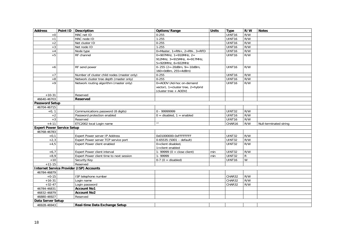<span id="page-17-3"></span><span id="page-17-2"></span><span id="page-17-1"></span><span id="page-17-0"></span>

| <b>Address</b>                    | Point ID   Description                          | Options/Range                                   | <b>Units</b> | <b>Type</b>        | R/W | <b>Notes</b>           |
|-----------------------------------|-------------------------------------------------|-------------------------------------------------|--------------|--------------------|-----|------------------------|
| $+0$                              | MAC net ID                                      | $0 - 255$                                       |              | UINT16             | R/W |                        |
| $+1$                              | MAC node ID                                     | $\overline{1}$ -255                             |              | UINT16             | R/W |                        |
| $+2$                              | Net cluster ID                                  | $0 - 255$                                       |              | UINT16             | R/W |                        |
| $+3$                              | Net node ID                                     | $1 - 255$                                       |              | UINT16             | R/W |                        |
| $+4$                              | Node type                                       | $0 = Master, 1 = RN +$ , $2 = RN -$ , $3 = RFD$ |              | UINT <sub>16</sub> | R/W |                        |
| $+5$                              | RF channel                                      | $0=907$ MHz, $1=910$ MHz, $2=$                  |              | UINT16             | R/W |                        |
|                                   |                                                 | 912MHz, 3=915MHz, 4=917MHz,                     |              |                    |     |                        |
|                                   |                                                 | 5=920MHz, 6=922MHz                              |              |                    |     |                        |
| $+6$                              | RF send power                                   | 0-255 (2=-20dBm, 9=-10dBm,                      |              | UINT16             | R/W |                        |
|                                   |                                                 | $160 = 0$ dBm, $255 = 4$ dBm)                   |              |                    |     |                        |
| $+7$                              | Number of cluster child nodes (master only)     | $0 - 255$                                       |              | UINT <sub>16</sub> | R/W |                        |
| $+8$                              | Network cluster tree depth (master only)        | $0 - 255$                                       |              | UINT16             | R/W |                        |
| $+9$                              | Network routing algorithm (master only)         | 0=AODV (Ad-hoc on-demand                        |              | UINT16             | R/W |                        |
|                                   |                                                 | vector), $1 =$ cluster tree, $2 =$ hybrid       |              |                    |     |                        |
|                                   |                                                 | (cluster tree + AODV)                           |              |                    |     |                        |
| $+10-31$                          | Reserved                                        |                                                 |              |                    |     |                        |
| 46640-46703                       | Reserved                                        |                                                 |              |                    |     |                        |
| <b>Password Setup</b>             |                                                 |                                                 |              |                    |     |                        |
| 46704-46715                       |                                                 |                                                 |              |                    |     |                        |
| $+0, 1$                           | Communications password (8 digits)              | 0 - 99999999                                    |              | UINT32             | R/W |                        |
| $+2$                              | Password protection enabled                     | $0 =$ disabled, $1 =$ enabled                   |              | UINT16             | R/W |                        |
| $+3$                              | Reserved                                        | $\overline{u}$                                  |              | UINT16             | R/W |                        |
| $+4-11$                           | ETC2002 local Login name                        |                                                 |              | CHAR16             | R/W | Null-terminated string |
| <b>Expert Power Service Setup</b> |                                                 |                                                 |              |                    |     |                        |
| 46768-46783                       |                                                 |                                                 |              |                    |     |                        |
| $+0.1$                            | Expert Power server IP Address                  | 0x01000000-0xFFFFFFFF                           |              | <b>UINT32</b>      | R/W |                        |
| $+2,3$                            | Expert Power server TCP service port            | $0-65535$ (5001 - default)                      |              | UINT32             | R/W |                        |
| $+4,5$                            | Expert Power client enabled                     | 0=client disabled,                              |              | <b>UINT32</b>      | R/W |                        |
|                                   |                                                 | 1=client enabled                                |              |                    |     |                        |
| $+6,7$                            | <b>Expert Power client interval</b>             | 1- 99999 ( $0 =$ close client)                  | min          | UINT32             | R/W |                        |
| $+8,9$                            | Expert Power client time to next session        | 1-99999                                         | min          | UINT32             | R   |                        |
| $+10$                             | Security Key                                    | $0-7$ (0 = disabled)                            |              | UINT16             | W   |                        |
| $+11-15$                          | Reserved                                        |                                                 |              |                    |     |                        |
|                                   | <b>Internet Service Provider (ISP) Accounts</b> |                                                 |              |                    |     |                        |
| 46784-46879                       |                                                 |                                                 |              |                    |     |                        |
| $+0-15$                           | ISP telephone number                            |                                                 |              | CHAR32             | R/W |                        |
| $+16-31$                          | Login name                                      |                                                 |              | CHAR32             | R/W |                        |
| $+32-47$                          | Login password<br><b>Account No1</b>            |                                                 |              | CHAR32             | R/W |                        |
| 46784-46831                       |                                                 |                                                 |              |                    |     |                        |
| 46832-46879                       | <b>Account No2</b>                              |                                                 |              |                    |     |                        |
| 46880-46927                       | Reserved                                        |                                                 |              |                    |     |                        |
| Data Server Setup                 |                                                 |                                                 |              |                    |     |                        |
| 46928-46943                       | Real-time Data Exchange Setup                   |                                                 |              |                    |     |                        |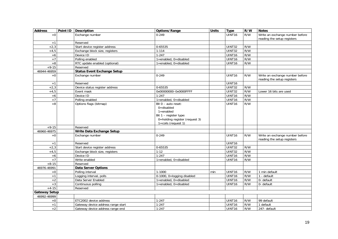<span id="page-18-0"></span>

| <b>Address</b>       | Point ID   Description             | Options/Range                                                                                                                                 | <b>Units</b> | <b>Type</b>        | R/W | <b>Notes</b>                                                   |
|----------------------|------------------------------------|-----------------------------------------------------------------------------------------------------------------------------------------------|--------------|--------------------|-----|----------------------------------------------------------------|
| $+0$                 | Exchange number                    | $0 - 249$                                                                                                                                     |              | UINT <sub>16</sub> | R/W | Write an exchange number before                                |
|                      |                                    |                                                                                                                                               |              |                    |     | reading the setup registers                                    |
| $+1$                 | Reserved                           |                                                                                                                                               |              |                    |     |                                                                |
| $+2,3$               | Start device register address      | 0-65535                                                                                                                                       |              | UINT32             | R/W |                                                                |
| $+4,5$               | Exchange block size, registers     | $1 - 114$                                                                                                                                     |              | <b>UINT32</b>      | R/W |                                                                |
| $+6$                 | Device ID                          | $1 - 247$                                                                                                                                     |              | UINT16             | R/W |                                                                |
| $+7$                 | Polling enabled                    | 1=enabled, 0=disabled                                                                                                                         |              | UINT16             | R/W |                                                                |
| $+8$                 | RTC update enabled (optional)      | 1=enabled, 0=disabled                                                                                                                         |              | UINT16             | R/W |                                                                |
| $+9-15$              | Reserved                           |                                                                                                                                               |              |                    |     |                                                                |
| 46944-46959          | <b>Status Event Exchange Setup</b> |                                                                                                                                               |              |                    |     |                                                                |
| $+0$                 | Exchange number                    | $0 - 249$                                                                                                                                     |              | UINT16             | R/W | Write an exchange number before<br>reading the setup registers |
| $+1$                 | Reserved                           |                                                                                                                                               |              | UINT16             |     |                                                                |
| $+2,3$               | Device status register address     | 0-65535                                                                                                                                       |              | UINT32             | R/W |                                                                |
| $+4,5$               | Event mask                         | 0x00000000-0x0000FFFF                                                                                                                         |              | UINT32             | R/W | Lower 16 bits are used                                         |
| $+6$                 | Device ID                          | $1 - 247$                                                                                                                                     |              | UINT16             | R/W |                                                                |
| $+7$                 | Polling enabled                    | 1=enabled, 0=disabled                                                                                                                         |              | UINT16             | R/W |                                                                |
| $+8$                 | Options flags (bitmap)             | Bit $0$ – auto reset:<br>$0 =$ disabled<br>$1 =$ enabled<br>Bit $1$ – register type:<br>0=holding register (request 3)<br>1=coils (request 1) |              | <b>UINT16</b>      | R/W |                                                                |
| $+9-15$              | Reserved                           |                                                                                                                                               |              |                    |     |                                                                |
| 46960-46975          | Write Data Exchange Setup          |                                                                                                                                               |              |                    |     |                                                                |
| $+0$                 | Exchange number                    | $0 - 249$                                                                                                                                     |              | <b>UINT16</b>      | R/W | Write an exchange number before<br>reading the setup registers |
| $+1$                 | Reserved                           |                                                                                                                                               |              | UINT16             |     |                                                                |
| $+2,3$               | Start device register address      | 0-65535                                                                                                                                       |              | UINT32             | R/W |                                                                |
| $+4,5$               | Exchange block size, registers     | $1 - 12$                                                                                                                                      |              | UINT32             | R/W |                                                                |
| $+6$                 | Device ID                          | $1 - 247$                                                                                                                                     |              | UINT16             | R/W |                                                                |
| $+7$                 | Write enabled                      | 1=enabled, 0=disabled                                                                                                                         |              | UINT16             | R/W |                                                                |
| $+8-15$              | Reserved                           |                                                                                                                                               |              |                    |     |                                                                |
| 46976-46991          | <b>Data Server Options</b>         |                                                                                                                                               |              |                    |     |                                                                |
| $\bf +0$             | Polling interval                   | 1-1000                                                                                                                                        | min          | UINT16             | R/W | $\overline{1}$ min default                                     |
| $+1$                 | Logging interval, polls            | 0-1000, 0=logging disabled                                                                                                                    |              | UINT16             | R/W | 1 - default                                                    |
| $+2$                 | Data Server Enabled                | 1=enabled, 0=disabled                                                                                                                         |              | UINT16             | R/W | 0- default                                                     |
| $+3$                 | Continuous polling                 | 1=enabled, 0=disabled                                                                                                                         |              | UINT16             | R/W | 0- default                                                     |
| $+4-15$              | Reserved                           |                                                                                                                                               |              |                    |     |                                                                |
| <b>Gateway Setup</b> |                                    |                                                                                                                                               |              |                    |     |                                                                |
| 46992-46999          |                                    |                                                                                                                                               |              |                    |     |                                                                |
| $+0$                 | ETC2002 device address             | $1 - 247$                                                                                                                                     |              | UINT16             | R/W | 99 default                                                     |
| $+1$                 | Gateway device address range start | $1 - 247$                                                                                                                                     |              | UINT16             | R/W | 1 default                                                      |
| $+2$                 | Gateway device address range end   | $1 - 247$                                                                                                                                     |              | <b>UINT16</b>      | R/W | 247- default                                                   |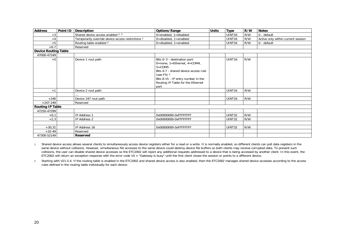| <b>Address</b>              | Point ID | Description                                       | Options/Range                                                                                                                                                                                                              | <b>Units</b> | <b>Type</b>        | R/W | <b>Notes</b>                       |  |
|-----------------------------|----------|---------------------------------------------------|----------------------------------------------------------------------------------------------------------------------------------------------------------------------------------------------------------------------------|--------------|--------------------|-----|------------------------------------|--|
| $+3$                        |          | Shared device access enabled 1, 2                 | $0 =$ enabled, $1 =$ disabled                                                                                                                                                                                              |              | UINT16             | R/W | 0 - default                        |  |
| $+4$                        |          | Temporarily override device access restrictions 1 | $0 =$ disabled, $1 =$ enabled                                                                                                                                                                                              |              | UINT <sub>16</sub> | R/W | Active only within current session |  |
| $+5$                        |          | Routing table enabled 2                           | 0=disabled, 1=enabled                                                                                                                                                                                                      |              | UINT16             | R/W | 0 - default                        |  |
| $+6-7$                      |          | Reserved                                          |                                                                                                                                                                                                                            |              |                    |     |                                    |  |
| <b>Device Routing Table</b> |          |                                                   |                                                                                                                                                                                                                            |              |                    |     |                                    |  |
| 47000-47249                 |          |                                                   |                                                                                                                                                                                                                            |              |                    |     |                                    |  |
| $+0$                        |          | Device 1 rout path                                | Bits 0-3 - destination port:<br>0=none, 1=Ethernet, $4=COM4$ ,<br>$5 =$ COM $5$<br>Bits 4-7 - shared device access rule<br>(see F5) $2$<br>Bits 8-15 - IP entry number in the<br>Routing IP Table for the Ethernet<br>port |              | UINT16             | R/W |                                    |  |
| $+1$                        |          | Device 2 rout path                                |                                                                                                                                                                                                                            |              | UINT16             | R/W |                                    |  |
|                             |          |                                                   |                                                                                                                                                                                                                            |              |                    |     |                                    |  |
| $+246$                      |          | Device 247 rout path                              |                                                                                                                                                                                                                            |              | UINT16             | R/W |                                    |  |
| $+247-249$                  |          | Reserved                                          |                                                                                                                                                                                                                            |              |                    |     |                                    |  |
| <b>Routing IP Table</b>     |          |                                                   |                                                                                                                                                                                                                            |              |                    |     |                                    |  |
| 47250-47299                 |          |                                                   |                                                                                                                                                                                                                            |              |                    |     |                                    |  |
| $+0,1$                      |          | IP Address 1                                      | 0x00000000-0xFFFFFFFF                                                                                                                                                                                                      |              | <b>UINT32</b>      | R/W |                                    |  |
| $+2,3$                      |          | IP Address 2                                      | 0x00000000-0xFFFFFFFF                                                                                                                                                                                                      |              | UINT32             | R/W |                                    |  |
|                             |          |                                                   |                                                                                                                                                                                                                            |              |                    |     |                                    |  |
| $+30,31$                    |          | IP Address 16                                     | 0x00000000-0xFFFFFFFF                                                                                                                                                                                                      |              | <b>UINT32</b>      | R/W |                                    |  |
| $+32-49$                    |          | Reserved                                          |                                                                                                                                                                                                                            |              |                    |     |                                    |  |
| 47300-52149                 |          | Reserved                                          |                                                                                                                                                                                                                            |              |                    |     |                                    |  |

1 Shared device access allows several clients to simultaneously access device registers either for a read or a write. It is normally enabled, so different clients can poll data registers in the same device without collisions. However, simultaneous file accesses to the same device could destroy device file buffers so both clients may receive corrupted data. To prevent such collisions, the user can disable shared device accesses so the ETC2002 will reject any additional requests addressed to a device that is being accessed by another client. In this event, the ETC2002 will return an exception response with the error code 10 = "Gateway is busy" until the first client closes the session or points to a different device.

<span id="page-19-1"></span><span id="page-19-0"></span>2 Starting with V21.5.4. If the routing table is enabled in the ETC2002 and shared device access is also enabled, then the ETC2002 manages shared device accesses according to the access rules defined in the routing table individually for each device.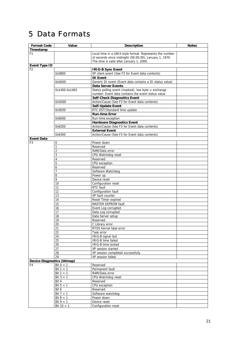# <span id="page-20-0"></span>5 Data Formats

<span id="page-20-4"></span><span id="page-20-3"></span><span id="page-20-2"></span><span id="page-20-1"></span>

| <b>Format Code</b>          | Value                 | <b>Description</b>                                                                                                 | <b>Notes</b> |
|-----------------------------|-----------------------|--------------------------------------------------------------------------------------------------------------------|--------------|
| Timestamp                   |                       |                                                                                                                    |              |
| F <sub>1</sub>              |                       |                                                                                                                    |              |
|                             |                       | Local time in a UNIX-style format. Represents the number<br>of seconds since midnight (00:00:00), January 1, 1970. |              |
|                             |                       | The time is valid after January 1, 2000.                                                                           |              |
| <b>Event Type ID</b>        |                       |                                                                                                                    |              |
| F <sub>2</sub>              |                       | <b>IRIG-B Sync Event</b>                                                                                           |              |
|                             | 0x0800                | XP client event (See F3 for Event data contents)                                                                   |              |
|                             |                       | <b>DI</b> Event                                                                                                    |              |
|                             | 0x0A00                | Generic DI event (Event data contains a DI status value)                                                           |              |
|                             |                       | <b>Data Server Events</b>                                                                                          |              |
|                             | 0x1400-0x1463         | Status polling event (masked), low byte = exchange                                                                 |              |
|                             |                       | number. Event data contains the event status value                                                                 |              |
|                             |                       | <b>Self-Check Diagnostics Event</b>                                                                                |              |
|                             | 0x5D00                | Action/Cause (See F3 for Event data contents)                                                                      |              |
|                             |                       | <b>Self-Update Event</b>                                                                                           |              |
|                             | 0x5E00                | RTC DST/Standard time update                                                                                       |              |
|                             |                       | <b>Run-time Error</b>                                                                                              |              |
|                             | 0x6000                | Run-time exception                                                                                                 |              |
|                             |                       | <b>Hardware Diagnostics Event</b>                                                                                  |              |
|                             | 0x6200                | Action/Cause (See F3 for Event data contents)                                                                      |              |
|                             |                       | <b>External Event</b>                                                                                              |              |
|                             | 0x6300                | Action/Cause (See F3 for Event data contents)                                                                      |              |
| <b>Event Data</b>           |                       |                                                                                                                    |              |
| F <sub>3</sub>              | 0                     | Power down                                                                                                         |              |
|                             | 1                     | Reserved                                                                                                           |              |
|                             | 2                     | RAM/Data error                                                                                                     |              |
|                             | 3                     | CPU Watchdog reset                                                                                                 |              |
|                             | 4                     | Reserved                                                                                                           |              |
|                             | 5                     | CPU exception                                                                                                      |              |
|                             | 6                     | Reserved                                                                                                           |              |
|                             | 7                     | Software Watchdog                                                                                                  |              |
|                             | 8                     | Power up                                                                                                           |              |
|                             | 9                     | Device reset                                                                                                       |              |
|                             | 10                    | Configuration reset<br>RTC fault                                                                                   |              |
|                             | 11<br>12              |                                                                                                                    |              |
|                             | 13                    | Configuration fault<br>XP fault counter                                                                            |              |
|                             |                       | Reset Timer expired                                                                                                |              |
|                             | 14<br>$\overline{15}$ | MASTER EEPROM fault                                                                                                |              |
|                             | 16                    | Event Log corrupted                                                                                                |              |
|                             | 17                    | Data Log corrupted                                                                                                 |              |
|                             |                       | Data Server setup                                                                                                  |              |
|                             | 18<br>19              | Reserved                                                                                                           |              |
|                             | 20                    | C Library error                                                                                                    |              |
|                             | 21                    | RTOS Kernel fatal error                                                                                            |              |
|                             | 22                    | Task error                                                                                                         |              |
|                             | 24                    | IRIG-B signal lost                                                                                                 |              |
|                             | 25                    | <b>IRIG-B time failed</b>                                                                                          |              |
|                             | 26                    | IRIG-B time locked                                                                                                 |              |
|                             | 27                    | XP session started                                                                                                 |              |
|                             | 28                    | XP session completed successfully                                                                                  |              |
|                             | 29                    | XP session failed                                                                                                  |              |
| Device Diagnostics (bitmap) |                       |                                                                                                                    |              |
| F4                          | Bit $0 = 1$           | Reserved                                                                                                           |              |
|                             | Bit $1 = 1$           | Permanent fault                                                                                                    |              |
|                             | Bit $2 = 1$           | RAM/Data error                                                                                                     |              |
|                             | Bit $3 = 1$           | CPU Watchdog reset                                                                                                 |              |
|                             | Bit 4                 | Reserved                                                                                                           |              |
|                             | Bit $5 = 1$           | CPU exception                                                                                                      |              |
|                             | Bit 6                 | Reserved                                                                                                           |              |
|                             | Bit $7 = 1$           | Software watchdog                                                                                                  |              |
|                             | Bit $8 = 1$           | Power down                                                                                                         |              |
|                             | $Bit 9 = 1$           | Device reset                                                                                                       |              |
|                             | Bit $10 = 1$          | Configuration reset                                                                                                |              |